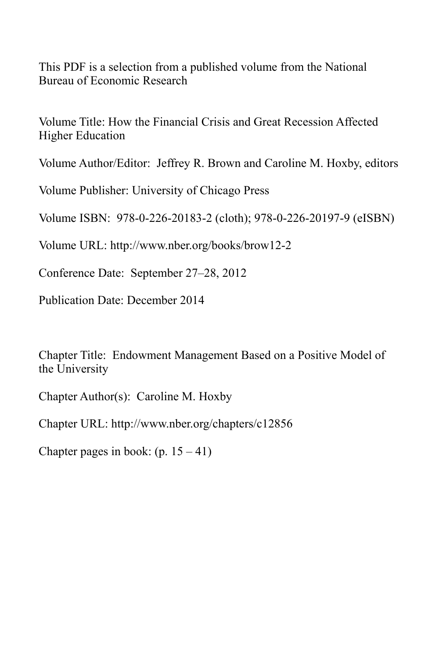This PDF is a selection from a published volume from the National Bureau of Economic Research

Volume Title: How the Financial Crisis and Great Recession Affected Higher Education

Volume Author/Editor: Jeffrey R. Brown and Caroline M. Hoxby, editors

Volume Publisher: University of Chicago Press

Volume ISBN: 978-0-226-20183-2 (cloth); 978-0-226-20197-9 (eISBN)

Volume URL: http://www.nber.org/books/brow12-2

Conference Date: September 27–28, 2012

Publication Date: December 2014

Chapter Title: Endowment Management Based on a Positive Model of the University

Chapter Author(s): Caroline M. Hoxby

Chapter URL: http://www.nber.org/chapters/c12856

Chapter pages in book:  $(p. 15-41)$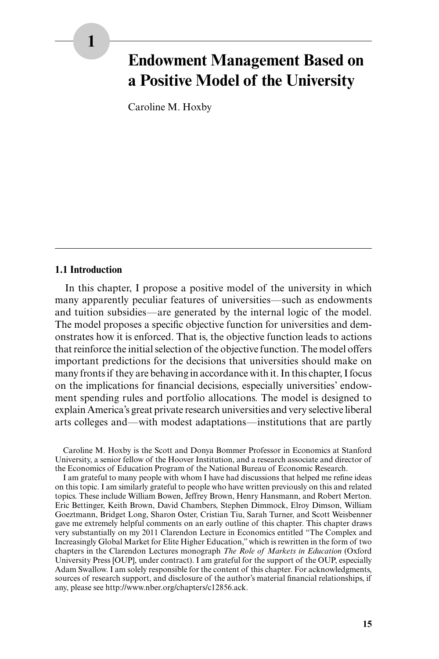# **Endowment Management Based on a Positive Model of the University**

Caroline M. Hoxby

### **1.1 Introduction**

In this chapter, I propose a positive model of the university in which many apparently peculiar features of universities—such as endowments and tuition subsidies—are generated by the internal logic of the model. The model proposes a specific objective function for universities and demonstrates how it is enforced. That is, the objective function leads to actions that reinforce the initial selection of the objective function. The model offers important predictions for the decisions that universities should make on many fronts if they are behaving in accordance with it. In this chapter, I focus on the implications for financial decisions, especially universities' endowment spending rules and portfolio allocations. The model is designed to explain America's great private research universities and very selective liberal arts colleges and—with modest adaptations—institutions that are partly

Caroline M. Hoxby is the Scott and Donya Bommer Professor in Economics at Stanford University, a senior fellow of the Hoover Institution, and a research associate and director of the Economics of Education Program of the National Bureau of Economic Research.

I am grateful to many people with whom I have had discussions that helped me refine ideas on this topic. I am similarly grateful to people who have written previously on this and related topics. These include William Bowen, Jeffrey Brown, Henry Hansmann, and Robert Merton. Eric Bettinger, Keith Brown, David Chambers, Stephen Dimmock, Elroy Dimson, William Goeztmann, Bridget Long, Sharon Oster, Cristian Tiu, Sarah Turner, and Scott Weisbenner gave me extremely helpful comments on an early outline of this chapter. This chapter draws very substantially on my 2011 Clarendon Lecture in Economics entitled "The Complex and Increasingly Global Market for Elite Higher Education," which is rewritten in the form of two chapters in the Clarendon Lectures monograph *The Role of Markets in Education* (Oxford University Press [OUP], under contract). I am grateful for the support of the OUP, especially Adam Swallow. I am solely responsible for the content of this chapter. For acknowledgments, sources of research support, and disclosure of the author's material financial relationships, if any, please see http://www.nber.org/chapters/c12856.ack.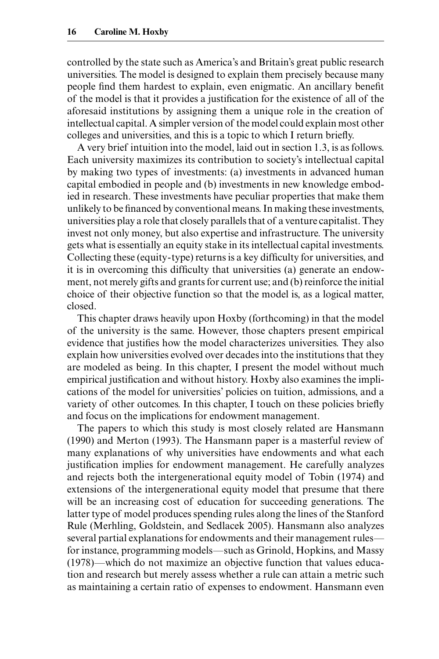controlled by the state such as America's and Britain's great public research universities. The model is designed to explain them precisely because many people find them hardest to explain, even enigmatic. An ancillary benefit of the model is that it provides a justification for the existence of all of the aforesaid institutions by assigning them a unique role in the creation of intellectual capital. A simpler version of the model could explain most other colleges and universities, and this is a topic to which I return briefly.

A very brief intuition into the model, laid out in section 1.3, is as follows. Each university maximizes its contribution to society's intellectual capital by making two types of investments: (a) investments in advanced human capital embodied in people and (b) investments in new knowledge embodied in research. These investments have peculiar properties that make them unlikely to be financed by conventional means. In making these investments, universities play a role that closely parallels that of a venture capitalist. They invest not only money, but also expertise and infrastructure. The university gets what is essentially an equity stake in its intellectual capital investments. Collecting these (equity-type) returns is a key difficulty for universities, and it is in overcoming this difficulty that universities (a) generate an endowment, not merely gifts and grants for current use; and (b) reinforce the initial choice of their objective function so that the model is, as a logical matter, closed.

This chapter draws heavily upon Hoxby (forthcoming) in that the model of the university is the same. However, those chapters present empirical evidence that justifies how the model characterizes universities. They also explain how universities evolved over decades into the institutions that they are modeled as being. In this chapter, I present the model without much empirical justification and without history. Hoxby also examines the implications of the model for universities' policies on tuition, admissions, and a variety of other outcomes. In this chapter, I touch on these policies briefly and focus on the implications for endowment management.

The papers to which this study is most closely related are Hansmann (1990) and Merton (1993). The Hansmann paper is a masterful review of many explanations of why universities have endowments and what each justification implies for endowment management. He carefully analyzes and rejects both the intergenerational equity model of Tobin (1974) and extensions of the intergenerational equity model that presume that there will be an increasing cost of education for succeeding generations. The latter type of model produces spending rules along the lines of the Stanford Rule (Merhling, Goldstein, and Sedlacek 2005). Hansmann also analyzes several partial explanations for endowments and their management rules for instance, programming models—such as Grinold, Hopkins, and Massy (1978)—which do not maximize an objective function that values education and research but merely assess whether a rule can attain a metric such as maintaining a certain ratio of expenses to endowment. Hansmann even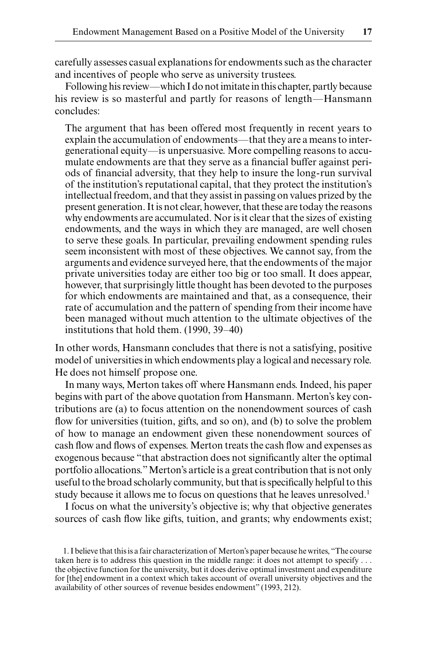carefully assesses casual explanations for endowments such as the character and incentives of people who serve as university trustees.

Following his review—which I do not imitate in this chapter, partly because his review is so masterful and partly for reasons of length—Hansmann concludes:

The argument that has been offered most frequently in recent years to explain the accumulation of endowments—that they are a means to intergenerational equity—is unpersuasive. More compelling reasons to accumulate endowments are that they serve as a financial buffer against periods of financial adversity, that they help to insure the long-run survival of the institution's reputational capital, that they protect the institution's intellectual freedom, and that they assist in passing on values prized by the present generation. It is not clear, however, that these are today the reasons why endowments are accumulated. Nor is it clear that the sizes of existing endowments, and the ways in which they are managed, are well chosen to serve these goals. In particular, prevailing endowment spending rules seem inconsistent with most of these objectives. We cannot say, from the arguments and evidence surveyed here, that the endowments of the major private universities today are either too big or too small. It does appear, however, that surprisingly little thought has been devoted to the purposes for which endowments are maintained and that, as a consequence, their rate of accumulation and the pattern of spending from their income have been managed without much attention to the ultimate objectives of the institutions that hold them. (1990, 39–40)

In other words, Hansmann concludes that there is not a satisfying, positive model of universities in which endowments play a logical and necessary role. He does not himself propose one.

In many ways, Merton takes off where Hansmann ends. Indeed, his paper begins with part of the above quotation from Hansmann. Merton's key contributions are (a) to focus attention on the nonendowment sources of cash flow for universities (tuition, gifts, and so on), and (b) to solve the problem of how to manage an endowment given these nonendowment sources of cash flow and flows of expenses. Merton treats the cash flow and expenses as exogenous because "that abstraction does not significantly alter the optimal portfolio allocations." Merton's article is a great contribution that is not only useful to the broad scholarly community, but that is specifically helpful to this study because it allows me to focus on questions that he leaves unresolved.<sup>1</sup>

I focus on what the university's objective is; why that objective generates sources of cash flow like gifts, tuition, and grants; why endowments exist;

<sup>1.</sup> I believe that this is a fair characterization of Merton's paper because he writes, "The course taken here is to address this question in the middle range: it does not attempt to specify . . . the objective function for the university, but it does derive optimal investment and expenditure for [the] endowment in a context which takes account of overall university objectives and the availability of other sources of revenue besides endowment" (1993, 212).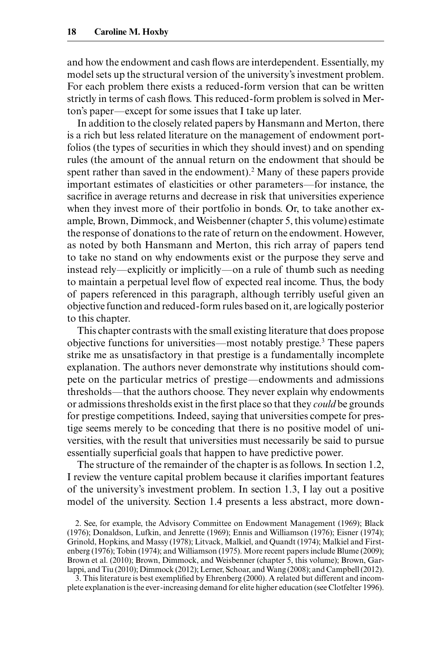and how the endowment and cash flows are interdependent. Essentially, my model sets up the structural version of the university's investment problem. For each problem there exists a reduced-form version that can be written strictly in terms of cash flows. This reduced-form problem is solved in Merton's paper—except for some issues that I take up later.

In addition to the closely related papers by Hansmann and Merton, there is a rich but less related literature on the management of endowment portfolios (the types of securities in which they should invest) and on spending rules (the amount of the annual return on the endowment that should be spent rather than saved in the endowment).<sup>2</sup> Many of these papers provide important estimates of elasticities or other parameters—for instance, the sacrifice in average returns and decrease in risk that universities experience when they invest more of their portfolio in bonds. Or, to take another example, Brown, Dimmock, and Weisbenner (chapter 5, this volume) estimate the response of donations to the rate of return on the endowment. However, as noted by both Hansmann and Merton, this rich array of papers tend to take no stand on why endowments exist or the purpose they serve and instead rely—explicitly or implicitly—on a rule of thumb such as needing to maintain a perpetual level flow of expected real income. Thus, the body of papers referenced in this paragraph, although terribly useful given an objective function and reduced-form rules based on it, are logically posterior to this chapter.

This chapter contrasts with the small existing literature that does propose objective functions for universities—most notably prestige.<sup>3</sup> These papers strike me as unsatisfactory in that prestige is a fundamentally incomplete explanation. The authors never demonstrate why institutions should compete on the particular metrics of prestige—endowments and admissions thresholds—that the authors choose. They never explain why endowments or admissions thresholds exist in the first place so that they *could* be grounds for prestige competitions. Indeed, saying that universities compete for prestige seems merely to be conceding that there is no positive model of universities, with the result that universities must necessarily be said to pursue essentially superficial goals that happen to have predictive power.

The structure of the remainder of the chapter is as follows. In section 1.2, I review the venture capital problem because it clarifies important features of the university's investment problem. In section 1.3, I lay out a positive model of the university. Section 1.4 presents a less abstract, more down-

2. See, for example, the Advisory Committee on Endowment Management (1969); Black (1976); Donaldson, Lufkin, and Jenrette (1969); Ennis and Williamson (1976); Eisner (1974); Grinold, Hopkins, and Massy (1978); Litvack, Malkiel, and Quandt (1974); Malkiel and Firstenberg (1976); Tobin (1974); and Williamson (1975). More recent papers include Blume (2009); Brown et al. (2010); Brown, Dimmock, and Weisbenner (chapter 5, this volume); Brown, Garlappi, and Tiu (2010); Dimmock (2012); Lerner, Schoar, and Wang (2008); and Campbell (2012).

3. This literature is best exemplified by Ehrenberg (2000). A related but different and incomplete explanation is the ever-increasing demand for elite higher education (see Clotfelter 1996).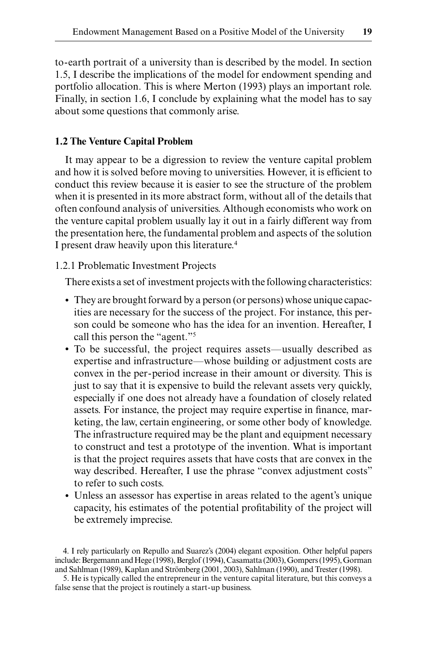to-earth portrait of a university than is described by the model. In section 1.5, I describe the implications of the model for endowment spending and portfolio allocation. This is where Merton (1993) plays an important role. Finally, in section 1.6, I conclude by explaining what the model has to say about some questions that commonly arise.

## **1.2 The Venture Capital Problem**

It may appear to be a digression to review the venture capital problem and how it is solved before moving to universities. However, it is efficient to conduct this review because it is easier to see the structure of the problem when it is presented in its more abstract form, without all of the details that often confound analysis of universities. Although economists who work on the venture capital problem usually lay it out in a fairly different way from the presentation here, the fundamental problem and aspects of the solution I present draw heavily upon this literature.4

## 1.2.1 Problematic Investment Projects

There exists a set of investment projects with the following characteristics:

- They are brought forward by a person (or persons) whose unique capacities are necessary for the success of the project. For instance, this person could be someone who has the idea for an invention. Hereafter, I call this person the "agent."5
- To be successful, the project requires assets—usually described as expertise and infrastructure—whose building or adjustment costs are convex in the per-period increase in their amount or diversity. This is just to say that it is expensive to build the relevant assets very quickly, especially if one does not already have a foundation of closely related assets. For instance, the project may require expertise in finance, marketing, the law, certain engineering, or some other body of knowledge. The infrastructure required may be the plant and equipment necessary to construct and test a prototype of the invention. What is important is that the project requires assets that have costs that are convex in the way described. Hereafter, I use the phrase "convex adjustment costs" to refer to such costs.
- Unless an assessor has expertise in areas related to the agent's unique capacity, his estimates of the potential profitability of the project will be extremely imprecise.

4. I rely particularly on Repullo and Suarez's (2004) elegant exposition. Other helpful papers include: Bergemann and Hege (1998), Berglof (1994), Casamatta (2003), Gompers (1995), Gorman and Sahlman (1989), Kaplan and Strömberg (2001, 2003), Sahlman (1990), and Trester (1998).

5. He is typically called the entrepreneur in the venture capital literature, but this conveys a false sense that the project is routinely a start-up business.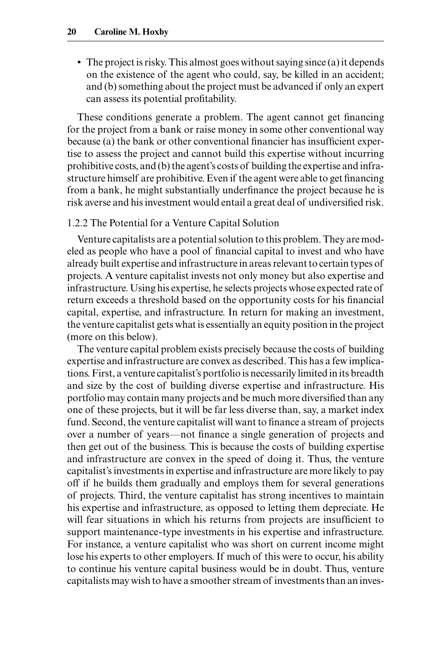• The project is risky. This almost goes without saying since (a) it depends on the existence of the agent who could, say, be killed in an accident; and (b) something about the project must be advanced if only an expert can assess its potential profitability.

These conditions generate a problem. The agent cannot get financing for the project from a bank or raise money in some other conventional way because (a) the bank or other conventional financier has insufficient expertise to assess the project and cannot build this expertise without incurring prohibitive costs, and (b) the agent's costs of building the expertise and infrastructure himself are prohibitive. Even if the agent were able to get financing from a bank, he might substantially underfinance the project because he is risk averse and his investment would entail a great deal of undiversified risk.

#### 1.2.2 The Potential for a Venture Capital Solution

Venture capitalists are a potential solution to this problem. They are modeled as people who have a pool of financial capital to invest and who have already built expertise and infrastructure in areas relevant to certain types of projects. A venture capitalist invests not only money but also expertise and infrastructure. Using his expertise, he selects projects whose expected rate of return exceeds a threshold based on the opportunity costs for his financial capital, expertise, and infrastructure. In return for making an investment, the venture capitalist gets what is essentially an equity position in the project (more on this below).

The venture capital problem exists precisely because the costs of building expertise and infrastructure are convex as described. This has a few implications. First, a venture capitalist's portfolio is necessarily limited in its breadth and size by the cost of building diverse expertise and infrastructure. His portfolio may contain many projects and be much more diversified than any one of these projects, but it will be far less diverse than, say, a market index fund. Second, the venture capitalist will want to finance a stream of projects over a number of years—not finance a single generation of projects and then get out of the business. This is because the costs of building expertise and infrastructure are convex in the speed of doing it. Thus, the venture capitalist's investments in expertise and infrastructure are more likely to pay off if he builds them gradually and employs them for several generations of projects. Third, the venture capitalist has strong incentives to maintain his expertise and infrastructure, as opposed to letting them depreciate. He will fear situations in which his returns from projects are insufficient to support maintenance-type investments in his expertise and infrastructure. For instance, a venture capitalist who was short on current income might lose his experts to other employers. If much of this were to occur, his ability to continue his venture capital business would be in doubt. Thus, venture capitalists may wish to have a smoother stream of investments than an inves-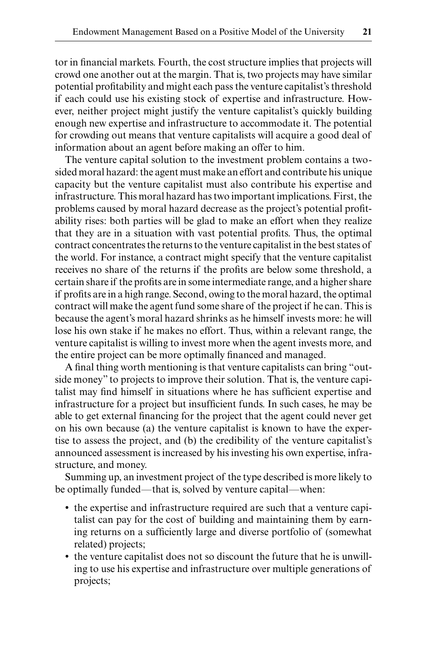tor in financial markets. Fourth, the cost structure implies that projects will crowd one another out at the margin. That is, two projects may have similar potential profitability and might each pass the venture capitalist's threshold if each could use his existing stock of expertise and infrastructure. However, neither project might justify the venture capitalist's quickly building enough new expertise and infrastructure to accommodate it. The potential for crowding out means that venture capitalists will acquire a good deal of information about an agent before making an offer to him.

The venture capital solution to the investment problem contains a twosided moral hazard: the agent must make an effort and contribute his unique capacity but the venture capitalist must also contribute his expertise and infrastructure. This moral hazard has two important implications. First, the problems caused by moral hazard decrease as the project's potential profitability rises: both parties will be glad to make an effort when they realize that they are in a situation with vast potential profits. Thus, the optimal contract concentrates the returns to the venture capitalist in the best states of the world. For instance, a contract might specify that the venture capitalist receives no share of the returns if the profits are below some threshold, a certain share if the profits are in some intermediate range, and a higher share if profits are in a high range. Second, owing to the moral hazard, the optimal contract will make the agent fund some share of the project if he can. This is because the agent's moral hazard shrinks as he himself invests more: he will lose his own stake if he makes no effort. Thus, within a relevant range, the venture capitalist is willing to invest more when the agent invests more, and the entire project can be more optimally financed and managed.

A final thing worth mentioning is that venture capitalists can bring "outside money" to projects to improve their solution. That is, the venture capitalist may find himself in situations where he has sufficient expertise and infrastructure for a project but insufficient funds. In such cases, he may be able to get external financing for the project that the agent could never get on his own because (a) the venture capitalist is known to have the expertise to assess the project, and (b) the credibility of the venture capitalist's announced assessment is increased by his investing his own expertise, infrastructure, and money.

Summing up, an investment project of the type described is more likely to be optimally funded—that is, solved by venture capital—when:

- the expertise and infrastructure required are such that a venture capitalist can pay for the cost of building and maintaining them by earning returns on a sufficiently large and diverse portfolio of (somewhat related) projects;
- the venture capitalist does not so discount the future that he is unwilling to use his expertise and infrastructure over multiple generations of projects;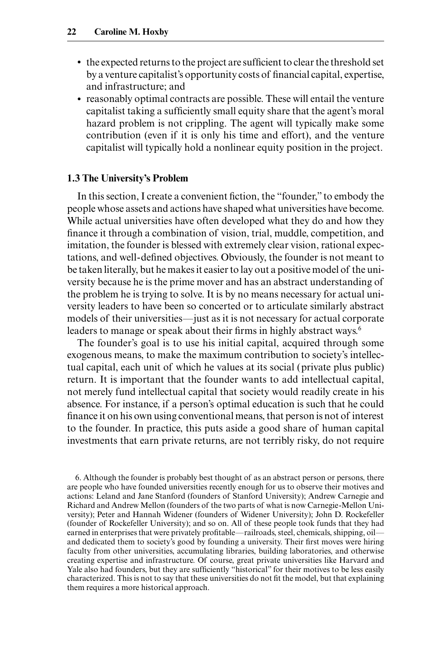- the expected returns to the project are sufficient to clear the threshold set by a venture capitalist's opportunity costs of financial capital, expertise, and infrastructure; and
- reasonably optimal contracts are possible. These will entail the venture capitalist taking a sufficiently small equity share that the agent's moral hazard problem is not crippling. The agent will typically make some contribution (even if it is only his time and effort), and the venture capitalist will typically hold a nonlinear equity position in the project.

#### **1.3 The University's Problem**

In this section, I create a convenient fiction, the "founder," to embody the people whose assets and actions have shaped what universities have become. While actual universities have often developed what they do and how they finance it through a combination of vision, trial, muddle, competition, and imitation, the founder is blessed with extremely clear vision, rational expectations, and well-defined objectives. Obviously, the founder is not meant to be taken literally, but he makes it easier to lay out a positive model of the university because he is the prime mover and has an abstract understanding of the problem he is trying to solve. It is by no means necessary for actual university leaders to have been so concerted or to articulate similarly abstract models of their universities—just as it is not necessary for actual corporate leaders to manage or speak about their firms in highly abstract ways.<sup>6</sup>

The founder's goal is to use his initial capital, acquired through some exogenous means, to make the maximum contribution to society's intellectual capital, each unit of which he values at its social (private plus public) return. It is important that the founder wants to add intellectual capital, not merely fund intellectual capital that society would readily create in his absence. For instance, if a person's optimal education is such that he could finance it on his own using conventional means, that person is not of interest to the founder. In practice, this puts aside a good share of human capital investments that earn private returns, are not terribly risky, do not require

6. Although the founder is probably best thought of as an abstract person or persons, there are people who have founded universities recently enough for us to observe their motives and actions: Leland and Jane Stanford (founders of Stanford University); Andrew Carnegie and Richard and Andrew Mellon (founders of the two parts of what is now Carnegie-Mellon University); Peter and Hannah Widener (founders of Widener University); John D. Rockefeller (founder of Rockefeller University); and so on. All of these people took funds that they had earned in enterprises that were privately profitable—railroads, steel, chemicals, shipping, oil and dedicated them to society's good by founding a university. Their first moves were hiring faculty from other universities, accumulating libraries, building laboratories, and otherwise creating expertise and infrastructure. Of course, great private universities like Harvard and Yale also had founders, but they are sufficiently "historical" for their motives to be less easily characterized. This is not to say that these universities do not fit the model, but that explaining them requires a more historical approach.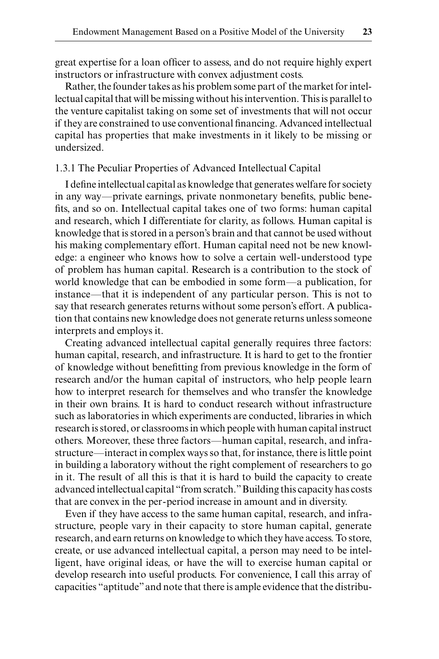great expertise for a loan officer to assess, and do not require highly expert instructors or infrastructure with convex adjustment costs.

Rather, the founder takes as his problem some part of the market for intellectual capital that will be missing without his intervention. This is parallel to the venture capitalist taking on some set of investments that will not occur if they are constrained to use conventional financing. Advanced intellectual capital has properties that make investments in it likely to be missing or undersized.

### 1.3.1 The Peculiar Properties of Advanced Intellectual Capital

I define intellectual capital as knowledge that generates welfare for society in any way—private earnings, private nonmonetary benefits, public benefits, and so on. Intellectual capital takes one of two forms: human capital and research, which I differentiate for clarity, as follows. Human capital is knowledge that is stored in a person's brain and that cannot be used without his making complementary effort. Human capital need not be new knowledge: a engineer who knows how to solve a certain well-understood type of problem has human capital. Research is a contribution to the stock of world knowledge that can be embodied in some form—a publication, for instance—that it is independent of any particular person. This is not to say that research generates returns without some person's effort. A publication that contains new knowledge does not generate returns unless someone interprets and employs it.

Creating advanced intellectual capital generally requires three factors: human capital, research, and infrastructure. It is hard to get to the frontier of knowledge without benefitting from previous knowledge in the form of research and/or the human capital of instructors, who help people learn how to interpret research for themselves and who transfer the knowledge in their own brains. It is hard to conduct research without infrastructure such as laboratories in which experiments are conducted, libraries in which research is stored, or classrooms in which people with human capital instruct others. Moreover, these three factors—human capital, research, and infrastructure—interact in complex ways so that, for instance, there is little point in building a laboratory without the right complement of researchers to go in it. The result of all this is that it is hard to build the capacity to create advanced intellectual capital "from scratch." Building this capacity has costs that are convex in the per-period increase in amount and in diversity.

Even if they have access to the same human capital, research, and infrastructure, people vary in their capacity to store human capital, generate research, and earn returns on knowledge to which they have access. To store, create, or use advanced intellectual capital, a person may need to be intelligent, have original ideas, or have the will to exercise human capital or develop research into useful products. For convenience, I call this array of capacities "aptitude" and note that there is ample evidence that the distribu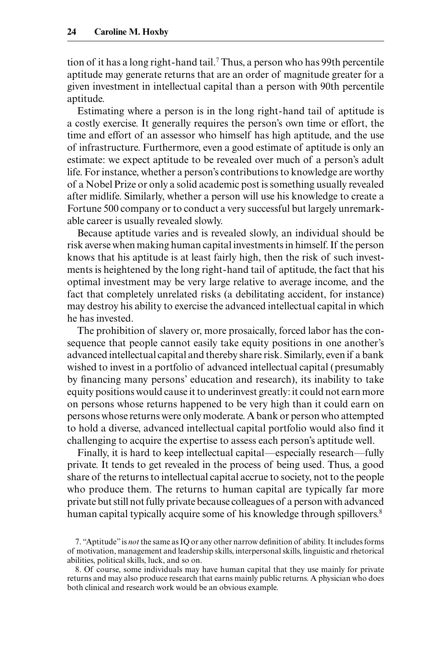tion of it has a long right-hand tail.7 Thus, a person who has 99th percentile aptitude may generate returns that are an order of magnitude greater for a given investment in intellectual capital than a person with 90th percentile aptitude.

Estimating where a person is in the long right-hand tail of aptitude is a costly exercise. It generally requires the person's own time or effort, the time and effort of an assessor who himself has high aptitude, and the use of infrastructure. Furthermore, even a good estimate of aptitude is only an estimate: we expect aptitude to be revealed over much of a person's adult life. For instance, whether a person's contributions to knowledge are worthy of a Nobel Prize or only a solid academic post is something usually revealed after midlife. Similarly, whether a person will use his knowledge to create a Fortune 500 company or to conduct a very successful but largely unremarkable career is usually revealed slowly.

Because aptitude varies and is revealed slowly, an individual should be risk averse when making human capital investments in himself. If the person knows that his aptitude is at least fairly high, then the risk of such investments is heightened by the long right-hand tail of aptitude, the fact that his optimal investment may be very large relative to average income, and the fact that completely unrelated risks (a debilitating accident, for instance) may destroy his ability to exercise the advanced intellectual capital in which he has invested.

The prohibition of slavery or, more prosaically, forced labor has the consequence that people cannot easily take equity positions in one another's advanced intellectual capital and thereby share risk. Similarly, even if a bank wished to invest in a portfolio of advanced intellectual capital (presumably by financing many persons' education and research), its inability to take equity positions would cause it to underinvest greatly: it could not earn more on persons whose returns happened to be very high than it could earn on persons whose returns were only moderate. A bank or person who attempted to hold a diverse, advanced intellectual capital portfolio would also find it challenging to acquire the expertise to assess each person's aptitude well.

Finally, it is hard to keep intellectual capital—especially research—fully private. It tends to get revealed in the process of being used. Thus, a good share of the returns to intellectual capital accrue to society, not to the people who produce them. The returns to human capital are typically far more private but still not fully private because colleagues of a person with advanced human capital typically acquire some of his knowledge through spillovers.<sup>8</sup>

<sup>7. &</sup>quot;Aptitude" is *not* the same as IQ or any other narrow definition of ability. It includes forms of motivation, management and leadership skills, interpersonal skills, linguistic and rhetorical abilities, political skills, luck, and so on.

<sup>8.</sup> Of course, some individuals may have human capital that they use mainly for private returns and may also produce research that earns mainly public returns. A physician who does both clinical and research work would be an obvious example.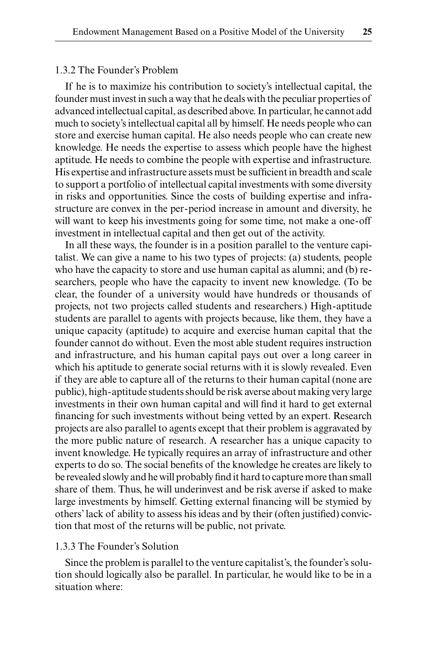#### 1.3.2 The Founder's Problem

If he is to maximize his contribution to society's intellectual capital, the founder must invest in such a way that he deals with the peculiar properties of advanced intellectual capital, as described above. In particular, he cannot add much to society's intellectual capital all by himself. He needs people who can store and exercise human capital. He also needs people who can create new knowledge. He needs the expertise to assess which people have the highest aptitude. He needs to combine the people with expertise and infrastructure. His expertise and infrastructure assets must be sufficient in breadth and scale to support a portfolio of intellectual capital investments with some diversity in risks and opportunities. Since the costs of building expertise and infrastructure are convex in the per-period increase in amount and diversity, he will want to keep his investments going for some time, not make a one-off investment in intellectual capital and then get out of the activity.

In all these ways, the founder is in a position parallel to the venture capitalist. We can give a name to his two types of projects: (a) students, people who have the capacity to store and use human capital as alumni; and (b) researchers, people who have the capacity to invent new knowledge. (To be clear, the founder of a university would have hundreds or thousands of projects, not two projects called students and researchers.) High-aptitude students are parallel to agents with projects because, like them, they have a unique capacity (aptitude) to acquire and exercise human capital that the founder cannot do without. Even the most able student requires instruction and infrastructure, and his human capital pays out over a long career in which his aptitude to generate social returns with it is slowly revealed. Even if they are able to capture all of the returns to their human capital (none are public), high-aptitude students should be risk averse about making very large investments in their own human capital and will find it hard to get external financing for such investments without being vetted by an expert. Research projects are also parallel to agents except that their problem is aggravated by the more public nature of research. A researcher has a unique capacity to invent knowledge. He typically requires an array of infrastructure and other experts to do so. The social benefits of the knowledge he creates are likely to be revealed slowly and he will probably find it hard to capture more than small share of them. Thus, he will underinvest and be risk averse if asked to make large investments by himself. Getting external financing will be stymied by others' lack of ability to assess his ideas and by their (often justified) conviction that most of the returns will be public, not private.

#### 1.3.3 The Founder's Solution

Since the problem is parallel to the venture capitalist's, the founder's solution should logically also be parallel. In particular, he would like to be in a situation where: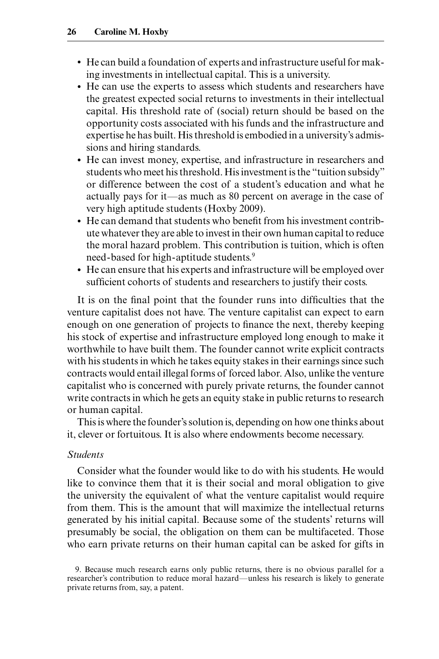- He can build a foundation of experts and infrastructure useful for making investments in intellectual capital. This is a university.
- He can use the experts to assess which students and researchers have the greatest expected social returns to investments in their intellectual capital. His threshold rate of (social) return should be based on the opportunity costs associated with his funds and the infrastructure and expertise he has built. His threshold is embodied in a university's admissions and hiring standards.
- He can invest money, expertise, and infrastructure in researchers and students who meet his threshold. His investment is the "tuition subsidy" or difference between the cost of a student's education and what he actually pays for it—as much as 80 percent on average in the case of very high aptitude students (Hoxby 2009).
- He can demand that students who benefit from his investment contribute whatever they are able to invest in their own human capital to reduce the moral hazard problem. This contribution is tuition, which is often need-based for high-aptitude students.9
- He can ensure that his experts and infrastructure will be employed over sufficient cohorts of students and researchers to justify their costs.

It is on the final point that the founder runs into difficulties that the venture capitalist does not have. The venture capitalist can expect to earn enough on one generation of projects to finance the next, thereby keeping his stock of expertise and infrastructure employed long enough to make it worthwhile to have built them. The founder cannot write explicit contracts with his students in which he takes equity stakes in their earnings since such contracts would entail illegal forms of forced labor. Also, unlike the venture capitalist who is concerned with purely private returns, the founder cannot write contracts in which he gets an equity stake in public returns to research or human capital.

This is where the founder's solution is, depending on how one thinks about it, clever or fortuitous. It is also where endowments become necessary.

## *Students*

Consider what the founder would like to do with his students. He would like to convince them that it is their social and moral obligation to give the university the equivalent of what the venture capitalist would require from them. This is the amount that will maximize the intellectual returns generated by his initial capital. Because some of the students' returns will presumably be social, the obligation on them can be multifaceted. Those who earn private returns on their human capital can be asked for gifts in

<sup>9.</sup> Because much research earns only public returns, there is no obvious parallel for a researcher's contribution to reduce moral hazard—unless his research is likely to generate private returns from, say, a patent.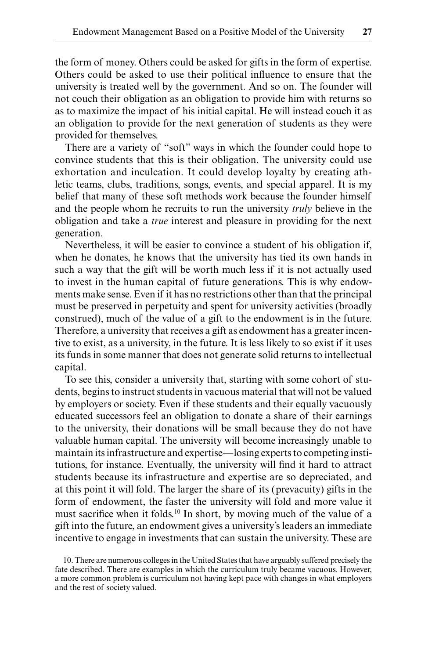the form of money. Others could be asked for gifts in the form of expertise. Others could be asked to use their political influence to ensure that the university is treated well by the government. And so on. The founder will not couch their obligation as an obligation to provide him with returns so as to maximize the impact of his initial capital. He will instead couch it as an obligation to provide for the next generation of students as they were provided for themselves.

There are a variety of "soft" ways in which the founder could hope to convince students that this is their obligation. The university could use exhortation and inculcation. It could develop loyalty by creating athletic teams, clubs, traditions, songs, events, and special apparel. It is my belief that many of these soft methods work because the founder himself and the people whom he recruits to run the university *truly* believe in the obligation and take a *true* interest and pleasure in providing for the next generation.

Nevertheless, it will be easier to convince a student of his obligation if, when he donates, he knows that the university has tied its own hands in such a way that the gift will be worth much less if it is not actually used to invest in the human capital of future generations. This is why endowments make sense. Even if it has no restrictions other than that the principal must be preserved in perpetuity and spent for university activities (broadly construed), much of the value of a gift to the endowment is in the future. Therefore, a university that receives a gift as endowment has a greater incentive to exist, as a university, in the future. It is less likely to so exist if it uses its funds in some manner that does not generate solid returns to intellectual capital.

To see this, consider a university that, starting with some cohort of students, begins to instruct students in vacuous material that will not be valued by employers or society. Even if these students and their equally vacuously educated successors feel an obligation to donate a share of their earnings to the university, their donations will be small because they do not have valuable human capital. The university will become increasingly unable to maintain its infrastructure and expertise—losing experts to competing institutions, for instance. Eventually, the university will find it hard to attract students because its infrastructure and expertise are so depreciated, and at this point it will fold. The larger the share of its (prevacuity) gifts in the form of endowment, the faster the university will fold and more value it must sacrifice when it folds.<sup>10</sup> In short, by moving much of the value of a gift into the future, an endowment gives a university's leaders an immediate incentive to engage in investments that can sustain the university. These are

<sup>10.</sup> There are numerous colleges in the United States that have arguably suffered precisely the fate described. There are examples in which the curriculum truly became vacuous. However, a more common problem is curriculum not having kept pace with changes in what employers and the rest of society valued.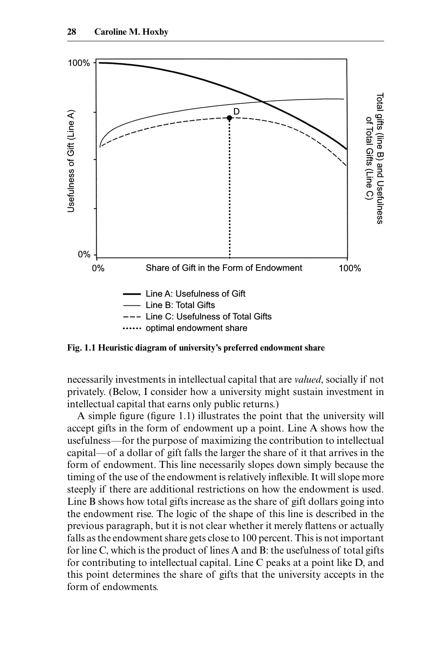

**Fig. 1.1 Heuristic diagram of university's preferred endowment share**

necessarily investments in intellectual capital that are *valued*, socially if not privately. (Below, I consider how a university might sustain investment in intellectual capital that earns only public returns.)

A simple figure (figure 1.1) illustrates the point that the university will accept gifts in the form of endowment up a point. Line A shows how the usefulness—for the purpose of maximizing the contribution to intellectual capital—of a dollar of gift falls the larger the share of it that arrives in the form of endowment. This line necessarily slopes down simply because the timing of the use of the endowment is relatively inflexible. It will slope more steeply if there are additional restrictions on how the endowment is used. Line B shows how total gifts increase as the share of gift dollars going into the endowment rise. The logic of the shape of this line is described in the previous paragraph, but it is not clear whether it merely flattens or actually falls as the endowment share gets close to 100 percent. This is not important for line C, which is the product of lines A and B: the usefulness of total gifts for contributing to intellectual capital. Line C peaks at a point like D, and this point determines the share of gifts that the university accepts in the form of endowments.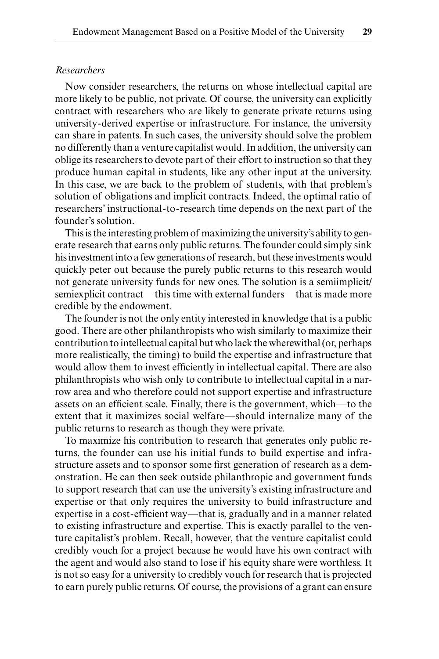#### *Researchers*

Now consider researchers, the returns on whose intellectual capital are more likely to be public, not private. Of course, the university can explicitly contract with researchers who are likely to generate private returns using university-derived expertise or infrastructure. For instance, the university can share in patents. In such cases, the university should solve the problem no differently than a venture capitalist would. In addition, the university can oblige its researchers to devote part of their effort to instruction so that they produce human capital in students, like any other input at the university. In this case, we are back to the problem of students, with that problem's solution of obligations and implicit contracts. Indeed, the optimal ratio of researchers' instructional-to-research time depends on the next part of the founder's solution.

This is the interesting problem of maximizing the university's ability to generate research that earns only public returns. The founder could simply sink his investment into a few generations of research, but these investments would quickly peter out because the purely public returns to this research would not generate university funds for new ones. The solution is a semiimplicit/ semiexplicit contract—this time with external funders—that is made more credible by the endowment.

The founder is not the only entity interested in knowledge that is a public good. There are other philanthropists who wish similarly to maximize their contribution to intellectual capital but who lack the wherewithal (or, perhaps more realistically, the timing) to build the expertise and infrastructure that would allow them to invest efficiently in intellectual capital. There are also philanthropists who wish only to contribute to intellectual capital in a narrow area and who therefore could not support expertise and infrastructure assets on an efficient scale. Finally, there is the government, which—to the extent that it maximizes social welfare—should internalize many of the public returns to research as though they were private.

To maximize his contribution to research that generates only public returns, the founder can use his initial funds to build expertise and infrastructure assets and to sponsor some first generation of research as a demonstration. He can then seek outside philanthropic and government funds to support research that can use the university's existing infrastructure and expertise or that only requires the university to build infrastructure and expertise in a cost-efficient way—that is, gradually and in a manner related to existing infrastructure and expertise. This is exactly parallel to the venture capitalist's problem. Recall, however, that the venture capitalist could credibly vouch for a project because he would have his own contract with the agent and would also stand to lose if his equity share were worthless. It is not so easy for a university to credibly vouch for research that is projected to earn purely public returns. Of course, the provisions of a grant can ensure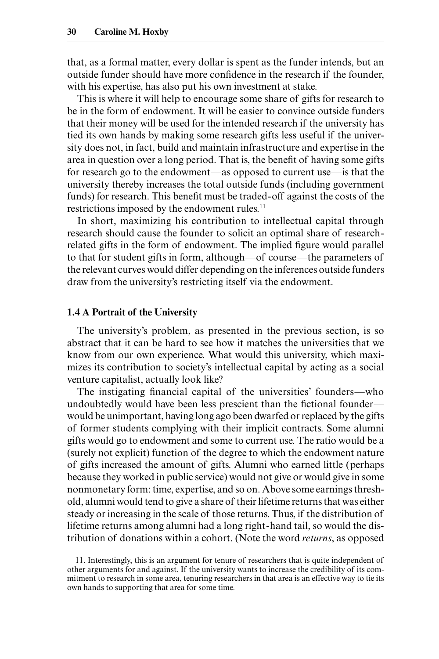that, as a formal matter, every dollar is spent as the funder intends, but an outside funder should have more confidence in the research if the founder, with his expertise, has also put his own investment at stake.

This is where it will help to encourage some share of gifts for research to be in the form of endowment. It will be easier to convince outside funders that their money will be used for the intended research if the university has tied its own hands by making some research gifts less useful if the university does not, in fact, build and maintain infrastructure and expertise in the area in question over a long period. That is, the benefit of having some gifts for research go to the endowment—as opposed to current use—is that the university thereby increases the total outside funds (including government funds) for research. This benefit must be traded-off against the costs of the restrictions imposed by the endowment rules.<sup>11</sup>

In short, maximizing his contribution to intellectual capital through research should cause the founder to solicit an optimal share of researchrelated gifts in the form of endowment. The implied figure would parallel to that for student gifts in form, although—of course—the parameters of the relevant curves would differ depending on the inferences outside funders draw from the university's restricting itself via the endowment.

#### **1.4 A Portrait of the University**

The university's problem, as presented in the previous section, is so abstract that it can be hard to see how it matches the universities that we know from our own experience. What would this university, which maximizes its contribution to society's intellectual capital by acting as a social venture capitalist, actually look like?

The instigating financial capital of the universities' founders—who undoubtedly would have been less prescient than the fictional founder would be unimportant, having long ago been dwarfed or replaced by the gifts of former students complying with their implicit contracts. Some alumni gifts would go to endowment and some to current use. The ratio would be a (surely not explicit) function of the degree to which the endowment nature of gifts increased the amount of gifts. Alumni who earned little (perhaps because they worked in public service) would not give or would give in some nonmonetary form: time, expertise, and so on. Above some earnings threshold, alumni would tend to give a share of their lifetime returns that was either steady or increasing in the scale of those returns. Thus, if the distribution of lifetime returns among alumni had a long right-hand tail, so would the distribution of donations within a cohort. (Note the word *returns*, as opposed

<sup>11.</sup> Interestingly, this is an argument for tenure of researchers that is quite independent of other arguments for and against. If the university wants to increase the credibility of its commitment to research in some area, tenuring researchers in that area is an effective way to tie its own hands to supporting that area for some time.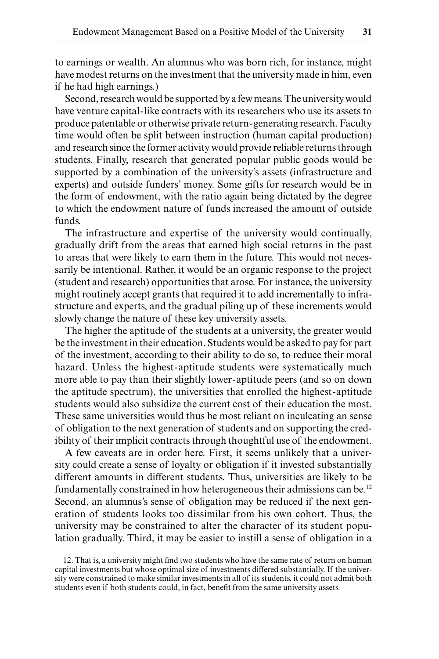to earnings or wealth. An alumnus who was born rich, for instance, might have modest returns on the investment that the university made in him, even if he had high earnings.)

Second, research would be supported by a few means. The university would have venture capital-like contracts with its researchers who use its assets to produce patentable or otherwise private return-generating research. Faculty time would often be split between instruction (human capital production) and research since the former activity would provide reliable returns through students. Finally, research that generated popular public goods would be supported by a combination of the university's assets (infrastructure and experts) and outside funders' money. Some gifts for research would be in the form of endowment, with the ratio again being dictated by the degree to which the endowment nature of funds increased the amount of outside funds.

The infrastructure and expertise of the university would continually, gradually drift from the areas that earned high social returns in the past to areas that were likely to earn them in the future. This would not necessarily be intentional. Rather, it would be an organic response to the project (student and research) opportunities that arose. For instance, the university might routinely accept grants that required it to add incrementally to infrastructure and experts, and the gradual piling up of these increments would slowly change the nature of these key university assets.

The higher the aptitude of the students at a university, the greater would be the investment in their education. Students would be asked to pay for part of the investment, according to their ability to do so, to reduce their moral hazard. Unless the highest-aptitude students were systematically much more able to pay than their slightly lower-aptitude peers (and so on down the aptitude spectrum), the universities that enrolled the highest-aptitude students would also subsidize the current cost of their education the most. These same universities would thus be most reliant on inculcating an sense of obligation to the next generation of students and on supporting the credibility of their implicit contracts through thoughtful use of the endowment.

A few caveats are in order here. First, it seems unlikely that a university could create a sense of loyalty or obligation if it invested substantially different amounts in different students. Thus, universities are likely to be fundamentally constrained in how heterogeneous their admissions can be.<sup>12</sup> Second, an alumnus's sense of obligation may be reduced if the next generation of students looks too dissimilar from his own cohort. Thus, the university may be constrained to alter the character of its student population gradually. Third, it may be easier to instill a sense of obligation in a

<sup>12.</sup> That is, a university might find two students who have the same rate of return on human capital investments but whose optimal size of investments differed substantially. If the university were constrained to make similar investments in all of its students, it could not admit both students even if both students could, in fact, benefit from the same university assets.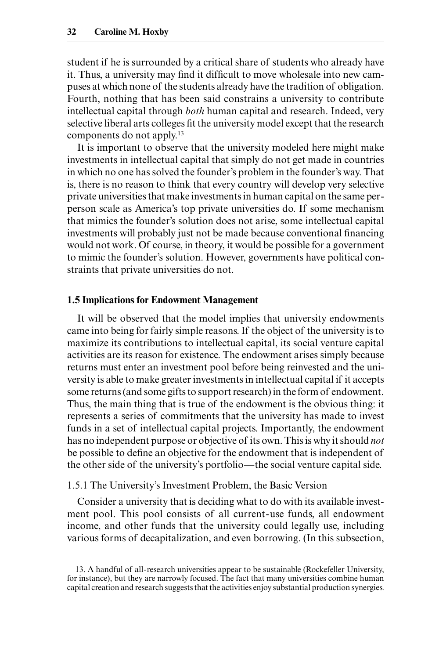student if he is surrounded by a critical share of students who already have it. Thus, a university may find it difficult to move wholesale into new campuses at which none of the students already have the tradition of obligation. Fourth, nothing that has been said constrains a university to contribute intellectual capital through *both* human capital and research. Indeed, very selective liberal arts colleges fit the university model except that the research components do not apply.13

It is important to observe that the university modeled here might make investments in intellectual capital that simply do not get made in countries in which no one has solved the founder's problem in the founder's way. That is, there is no reason to think that every country will develop very selective private universities that make investments in human capital on the same perperson scale as America's top private universities do. If some mechanism that mimics the founder's solution does not arise, some intellectual capital investments will probably just not be made because conventional financing would not work. Of course, in theory, it would be possible for a government to mimic the founder's solution. However, governments have political constraints that private universities do not.

#### **1.5 Implications for Endowment Management**

It will be observed that the model implies that university endowments came into being for fairly simple reasons. If the object of the university is to maximize its contributions to intellectual capital, its social venture capital activities are its reason for existence. The endowment arises simply because returns must enter an investment pool before being reinvested and the university is able to make greater investments in intellectual capital if it accepts some returns (and some gifts to support research) in the form of endowment. Thus, the main thing that is true of the endowment is the obvious thing: it represents a series of commitments that the university has made to invest funds in a set of intellectual capital projects. Importantly, the endowment has no independent purpose or objective of its own. This is why it should *not* be possible to define an objective for the endowment that is independent of the other side of the university's portfolio—the social venture capital side.

## 1.5.1 The University's Investment Problem, the Basic Version

Consider a university that is deciding what to do with its available investment pool. This pool consists of all current-use funds, all endowment income, and other funds that the university could legally use, including various forms of decapitalization, and even borrowing. (In this subsection,

<sup>13.</sup> A handful of all-research universities appear to be sustainable (Rockefeller University, for instance), but they are narrowly focused. The fact that many universities combine human capital creation and research suggests that the activities enjoy substantial production synergies.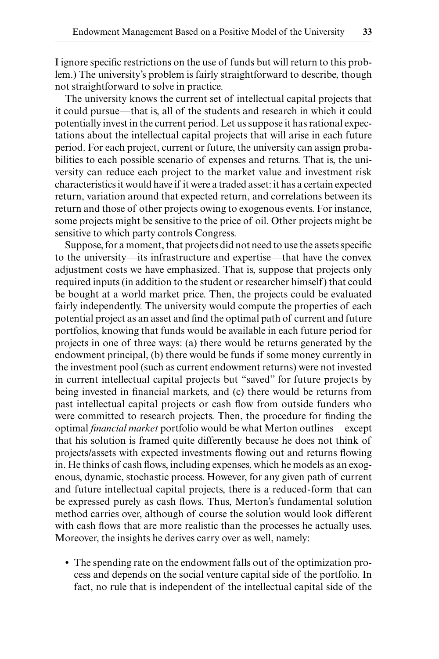I ignore specific restrictions on the use of funds but will return to this problem.) The university's problem is fairly straightforward to describe, though not straightforward to solve in practice.

The university knows the current set of intellectual capital projects that it could pursue—that is, all of the students and research in which it could potentially invest in the current period. Let us suppose it has rational expectations about the intellectual capital projects that will arise in each future period. For each project, current or future, the university can assign probabilities to each possible scenario of expenses and returns. That is, the university can reduce each project to the market value and investment risk characteristics it would have if it were a traded asset: it has a certain expected return, variation around that expected return, and correlations between its return and those of other projects owing to exogenous events. For instance, some projects might be sensitive to the price of oil. Other projects might be sensitive to which party controls Congress.

Suppose, for a moment, that projects did not need to use the assets specific to the university—its infrastructure and expertise—that have the convex adjustment costs we have emphasized. That is, suppose that projects only required inputs (in addition to the student or researcher himself) that could be bought at a world market price. Then, the projects could be evaluated fairly independently. The university would compute the properties of each potential project as an asset and find the optimal path of current and future portfolios, knowing that funds would be available in each future period for projects in one of three ways: (a) there would be returns generated by the endowment principal, (b) there would be funds if some money currently in the investment pool (such as current endowment returns) were not invested in current intellectual capital projects but "saved" for future projects by being invested in financial markets, and (c) there would be returns from past intellectual capital projects or cash flow from outside funders who were committed to research projects. Then, the procedure for finding the optimal *financial market* portfolio would be what Merton outlines—except that his solution is framed quite differently because he does not think of projects/assets with expected investments flowing out and returns flowing in. He thinks of cash flows, including expenses, which he models as an exogenous, dynamic, stochastic process. However, for any given path of current and future intellectual capital projects, there is a reduced-form that can be expressed purely as cash flows. Thus, Merton's fundamental solution method carries over, although of course the solution would look different with cash flows that are more realistic than the processes he actually uses. Moreover, the insights he derives carry over as well, namely:

• The spending rate on the endowment falls out of the optimization process and depends on the social venture capital side of the portfolio. In fact, no rule that is independent of the intellectual capital side of the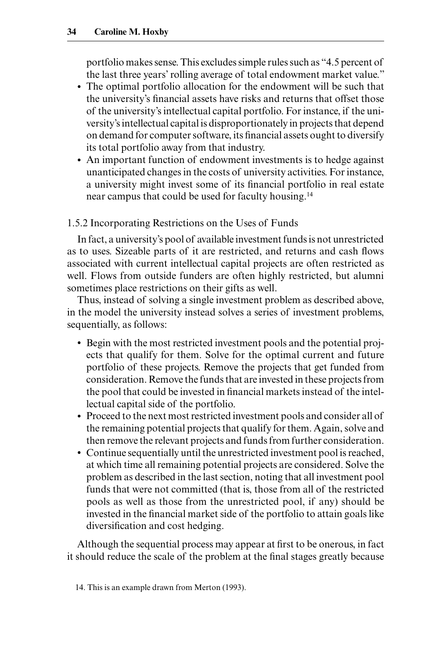portfolio makes sense. This excludes simple rules such as "4.5 percent of the last three years' rolling average of total endowment market value."

- The optimal portfolio allocation for the endowment will be such that the university's financial assets have risks and returns that offset those of the university's intellectual capital portfolio. For instance, if the university's intellectual capital is disproportionately in projects that depend on demand for computer software, its financial assets ought to diversify its total portfolio away from that industry.
- An important function of endowment investments is to hedge against unanticipated changes in the costs of university activities. For instance, a university might invest some of its financial portfolio in real estate near campus that could be used for faculty housing.14

# 1.5.2 Incorporating Restrictions on the Uses of Funds

In fact, a university's pool of available investment funds is not unrestricted as to uses. Sizeable parts of it are restricted, and returns and cash flows associated with current intellectual capital projects are often restricted as well. Flows from outside funders are often highly restricted, but alumni sometimes place restrictions on their gifts as well.

Thus, instead of solving a single investment problem as described above, in the model the university instead solves a series of investment problems, sequentially, as follows:

- Begin with the most restricted investment pools and the potential projects that qualify for them. Solve for the optimal current and future portfolio of these projects. Remove the projects that get funded from consideration. Remove the funds that are invested in these projects from the pool that could be invested in financial markets instead of the intellectual capital side of the portfolio.
- Proceed to the next most restricted investment pools and consider all of the remaining potential projects that qualify for them. Again, solve and then remove the relevant projects and funds from further consideration.
- Continue sequentially until the unrestricted investment pool is reached, at which time all remaining potential projects are considered. Solve the problem as described in the last section, noting that all investment pool funds that were not committed (that is, those from all of the restricted pools as well as those from the unrestricted pool, if any) should be invested in the financial market side of the portfolio to attain goals like diversification and cost hedging.

Although the sequential process may appear at first to be onerous, in fact it should reduce the scale of the problem at the final stages greatly because

<sup>14.</sup> This is an example drawn from Merton (1993).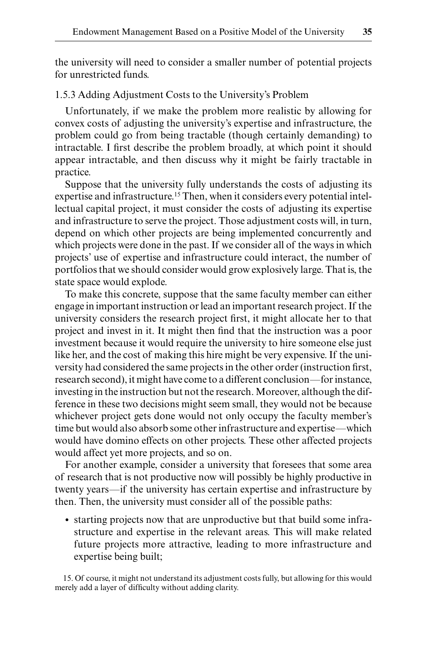the university will need to consider a smaller number of potential projects for unrestricted funds.

### 1.5.3 Adding Adjustment Costs to the University's Problem

Unfortunately, if we make the problem more realistic by allowing for convex costs of adjusting the university's expertise and infrastructure, the problem could go from being tractable (though certainly demanding) to intractable. I first describe the problem broadly, at which point it should appear intractable, and then discuss why it might be fairly tractable in practice.

Suppose that the university fully understands the costs of adjusting its expertise and infrastructure.<sup>15</sup> Then, when it considers every potential intellectual capital project, it must consider the costs of adjusting its expertise and infrastructure to serve the project. Those adjustment costs will, in turn, depend on which other projects are being implemented concurrently and which projects were done in the past. If we consider all of the ways in which projects' use of expertise and infrastructure could interact, the number of portfolios that we should consider would grow explosively large. That is, the state space would explode.

To make this concrete, suppose that the same faculty member can either engage in important instruction or lead an important research project. If the university considers the research project first, it might allocate her to that project and invest in it. It might then find that the instruction was a poor investment because it would require the university to hire someone else just like her, and the cost of making this hire might be very expensive. If the university had considered the same projects in the other order (instruction first, research second), it might have come to a different conclusion—for instance, investing in the instruction but not the research. Moreover, although the difference in these two decisions might seem small, they would not be because whichever project gets done would not only occupy the faculty member's time but would also absorb some other infrastructure and expertise—which would have domino effects on other projects. These other affected projects would affect yet more projects, and so on.

For another example, consider a university that foresees that some area of research that is not productive now will possibly be highly productive in twenty years—if the university has certain expertise and infrastructure by then. Then, the university must consider all of the possible paths:

• starting projects now that are unproductive but that build some infrastructure and expertise in the relevant areas. This will make related future projects more attractive, leading to more infrastructure and expertise being built;

15. Of course, it might not understand its adjustment costs fully, but allowing for this would merely add a layer of difficulty without adding clarity.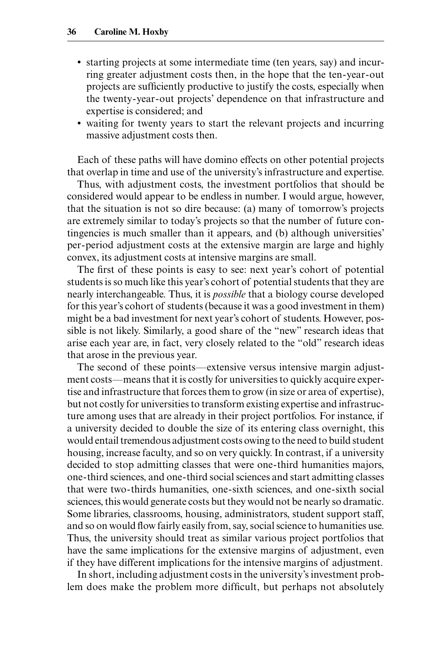- starting projects at some intermediate time (ten years, say) and incurring greater adjustment costs then, in the hope that the ten-year-out projects are sufficiently productive to justify the costs, especially when the twenty-year-out projects' dependence on that infrastructure and expertise is considered; and
- waiting for twenty years to start the relevant projects and incurring massive adjustment costs then.

Each of these paths will have domino effects on other potential projects that overlap in time and use of the university's infrastructure and expertise.

Thus, with adjustment costs, the investment portfolios that should be considered would appear to be endless in number. I would argue, however, that the situation is not so dire because: (a) many of tomorrow's projects are extremely similar to today's projects so that the number of future contingencies is much smaller than it appears, and (b) although universities' per-period adjustment costs at the extensive margin are large and highly convex, its adjustment costs at intensive margins are small.

The first of these points is easy to see: next year's cohort of potential students is so much like this year's cohort of potential students that they are nearly interchangeable. Thus, it is *possible* that a biology course developed for this year's cohort of students (because it was a good investment in them) might be a bad investment for next year's cohort of students. However, possible is not likely. Similarly, a good share of the "new" research ideas that arise each year are, in fact, very closely related to the "old" research ideas that arose in the previous year.

The second of these points—extensive versus intensive margin adjustment costs—means that it is costly for universities to quickly acquire expertise and infrastructure that forces them to grow (in size or area of expertise), but not costly for universities to transform existing expertise and infrastructure among uses that are already in their project portfolios. For instance, if a university decided to double the size of its entering class overnight, this would entail tremendous adjustment costs owing to the need to build student housing, increase faculty, and so on very quickly. In contrast, if a university decided to stop admitting classes that were one-third humanities majors, one-third sciences, and one-third social sciences and start admitting classes that were two-thirds humanities, one-sixth sciences, and one-sixth social sciences, this would generate costs but they would not be nearly so dramatic. Some libraries, classrooms, housing, administrators, student support staff, and so on would flow fairly easily from, say, social science to humanities use. Thus, the university should treat as similar various project portfolios that have the same implications for the extensive margins of adjustment, even if they have different implications for the intensive margins of adjustment.

In short, including adjustment costs in the university's investment problem does make the problem more difficult, but perhaps not absolutely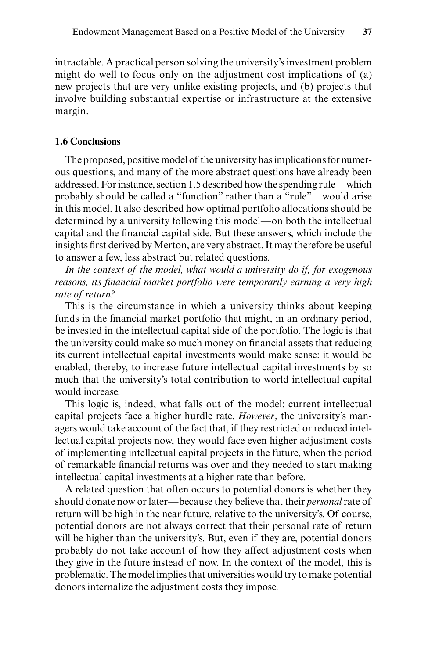intractable. A practical person solving the university's investment problem might do well to focus only on the adjustment cost implications of (a) new projects that are very unlike existing projects, and (b) projects that involve building substantial expertise or infrastructure at the extensive margin.

#### **1.6 Conclusions**

The proposed, positive model of the university has implications for numerous questions, and many of the more abstract questions have already been addressed. For instance, section 1.5 described how the spending rule—which probably should be called a "function" rather than a "rule"—would arise in this model. It also described how optimal portfolio allocations should be determined by a university following this model—on both the intellectual capital and the financial capital side. But these answers, which include the insights first derived by Merton, are very abstract. It may therefore be useful to answer a few, less abstract but related questions.

*In the context of the model, what would a university do if, for exogenous reasons, its financial market portfolio were temporarily earning a very high rate of return?*

This is the circumstance in which a university thinks about keeping funds in the financial market portfolio that might, in an ordinary period, be invested in the intellectual capital side of the portfolio. The logic is that the university could make so much money on financial assets that reducing its current intellectual capital investments would make sense: it would be enabled, thereby, to increase future intellectual capital investments by so much that the university's total contribution to world intellectual capital would increase.

This logic is, indeed, what falls out of the model: current intellectual capital projects face a higher hurdle rate. *However*, the university's managers would take account of the fact that, if they restricted or reduced intellectual capital projects now, they would face even higher adjustment costs of implementing intellectual capital projects in the future, when the period of remarkable financial returns was over and they needed to start making intellectual capital investments at a higher rate than before.

A related question that often occurs to potential donors is whether they should donate now or later—because they believe that their *personal* rate of return will be high in the near future, relative to the university's. Of course, potential donors are not always correct that their personal rate of return will be higher than the university's. But, even if they are, potential donors probably do not take account of how they affect adjustment costs when they give in the future instead of now. In the context of the model, this is problematic. The model implies that universities would try to make potential donors internalize the adjustment costs they impose.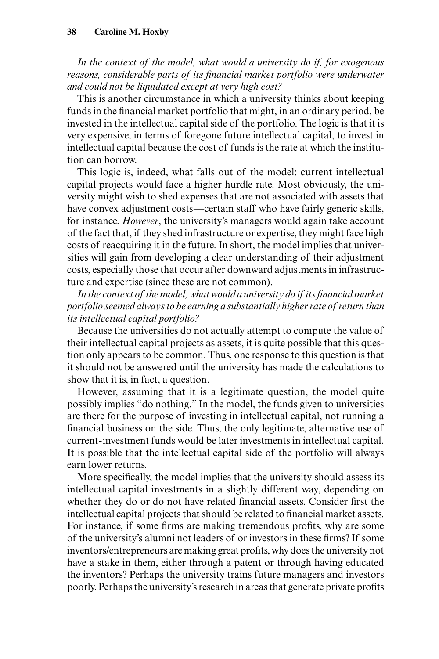*In the context of the model, what would a university do if, for exogenous*  reasons, considerable parts of its financial market portfolio were underwater *and could not be liquidated except at very high cost?*

This is another circumstance in which a university thinks about keeping funds in the financial market portfolio that might, in an ordinary period, be invested in the intellectual capital side of the portfolio. The logic is that it is very expensive, in terms of foregone future intellectual capital, to invest in intellectual capital because the cost of funds is the rate at which the institution can borrow.

This logic is, indeed, what falls out of the model: current intellectual capital projects would face a higher hurdle rate. Most obviously, the university might wish to shed expenses that are not associated with assets that have convex adjustment costs—certain staff who have fairly generic skills, for instance. *However*, the university's managers would again take account of the fact that, if they shed infrastructure or expertise, they might face high costs of reacquiring it in the future. In short, the model implies that universities will gain from developing a clear understanding of their adjustment costs, especially those that occur after downward adjustments in infrastructure and expertise (since these are not common).

*In the context of the model, what would a university do if its financial market portfolio seemed always to be earning a substantially higher rate of return than its intellectual capital portfolio?*

Because the universities do not actually attempt to compute the value of their intellectual capital projects as assets, it is quite possible that this question only appears to be common. Thus, one response to this question is that it should not be answered until the university has made the calculations to show that it is, in fact, a question.

However, assuming that it is a legitimate question, the model quite possibly implies "do nothing." In the model, the funds given to universities are there for the purpose of investing in intellectual capital, not running a financial business on the side. Thus, the only legitimate, alternative use of current-investment funds would be later investments in intellectual capital. It is possible that the intellectual capital side of the portfolio will always earn lower returns.

More specifically, the model implies that the university should assess its intellectual capital investments in a slightly different way, depending on whether they do or do not have related financial assets. Consider first the intellectual capital projects that should be related to financial market assets. For instance, if some firms are making tremendous profits, why are some of the university's alumni not leaders of or investors in these firms? If some inventors/entrepreneurs are making great profits, why does the university not have a stake in them, either through a patent or through having educated the inventors? Perhaps the university trains future managers and investors poorly. Perhaps the university's research in areas that generate private profits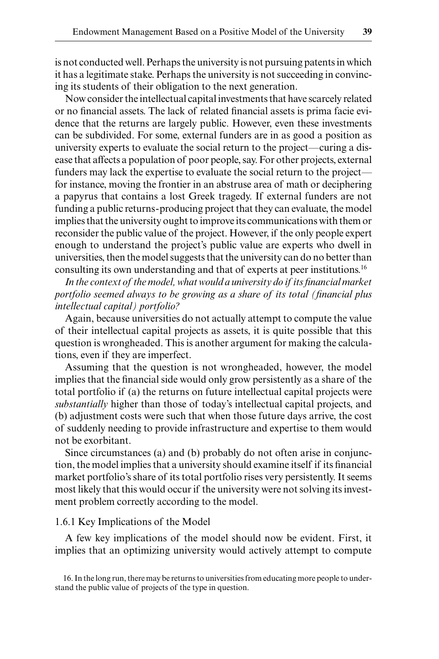is not conducted well. Perhaps the university is not pursuing patents in which it has a legitimate stake. Perhaps the university is not succeeding in convincing its students of their obligation to the next generation.

Now consider the intellectual capital investments that have scarcely related or no financial assets. The lack of related financial assets is prima facie evidence that the returns are largely public. However, even these investments can be subdivided. For some, external funders are in as good a position as university experts to evaluate the social return to the project—curing a disease that affects a population of poor people, say. For other projects, external funders may lack the expertise to evaluate the social return to the project for instance, moving the frontier in an abstruse area of math or deciphering a papyrus that contains a lost Greek tragedy. If external funders are not funding a public returns-producing project that they can evaluate, the model implies that the university ought to improve its communications with them or reconsider the public value of the project. However, if the only people expert enough to understand the project's public value are experts who dwell in universities, then the model suggests that the university can do no better than consulting its own understanding and that of experts at peer institutions.<sup>16</sup>

*In the context of the model, what would a university do if its financial market portfolio seemed always to be growing as a share of its total (financial plus intellectual capital) portfolio?*

Again, because universities do not actually attempt to compute the value of their intellectual capital projects as assets, it is quite possible that this question is wrongheaded. This is another argument for making the calculations, even if they are imperfect.

Assuming that the question is not wrongheaded, however, the model implies that the financial side would only grow persistently as a share of the total portfolio if (a) the returns on future intellectual capital projects were *substantially* higher than those of today's intellectual capital projects, and (b) adjustment costs were such that when those future days arrive, the cost of suddenly needing to provide infrastructure and expertise to them would not be exorbitant.

Since circumstances (a) and (b) probably do not often arise in conjunction, the model implies that a university should examine itself if its financial market portfolio's share of its total portfolio rises very persistently. It seems most likely that this would occur if the university were not solving its investment problem correctly according to the model.

### 1.6.1 Key Implications of the Model

A few key implications of the model should now be evident. First, it implies that an optimizing university would actively attempt to compute

16. In the long run, there may be returns to universities from educating more people to understand the public value of projects of the type in question.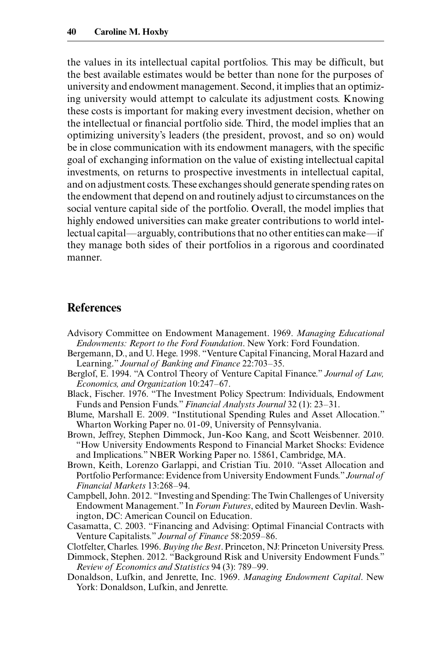the values in its intellectual capital portfolios. This may be difficult, but the best available estimates would be better than none for the purposes of university and endowment management. Second, it implies that an optimizing university would attempt to calculate its adjustment costs. Knowing these costs is important for making every investment decision, whether on the intellectual or financial portfolio side. Third, the model implies that an optimizing university's leaders (the president, provost, and so on) would be in close communication with its endowment managers, with the specific goal of exchanging information on the value of existing intellectual capital investments, on returns to prospective investments in intellectual capital, and on adjustment costs. These exchanges should generate spending rates on the endowment that depend on and routinely adjust to circumstances on the social venture capital side of the portfolio. Overall, the model implies that highly endowed universities can make greater contributions to world intellectual capital—arguably, contributions that no other entities can make—if they manage both sides of their portfolios in a rigorous and coordinated manner.

# **References**

- Advisory Committee on Endowment Management. 1969. *Managing Educational Endowments: Report to the Ford Foundation*. New York: Ford Foundation.
- Bergemann, D., and U. Hege. 1998. "Venture Capital Financing, Moral Hazard and Learning." *Journal of Banking and Finance* 22:703–35.
- Berglof, E. 1994. "A Control Theory of Venture Capital Finance." *Journal of Law, Economics, and Organization* 10:247–67.
- Black, Fischer. 1976. "The Investment Policy Spectrum: Individuals, Endowment Funds and Pension Funds." *Financial Analysts Journal* 32 (1): 23–31.
- Blume, Marshall E. 2009. "Institutional Spending Rules and Asset Allocation." Wharton Working Paper no. 01-09, University of Pennsylvania.
- Brown, Jeffrey, Stephen Dimmock, Jun-Koo Kang, and Scott Weisbenner. 2010. "How University Endowments Respond to Financial Market Shocks: Evidence and Implications." NBER Working Paper no. 15861, Cambridge, MA.
- Brown, Keith, Lorenzo Garlappi, and Cristian Tiu. 2010. "Asset Allocation and Portfolio Performance: Evidence from University Endowment Funds." *Journal of Financial Markets* 13:268–94.
- Campbell, John. 2012. "Investing and Spending: The Twin Challenges of University Endowment Management." In *Forum Futures*, edited by Maureen Devlin. Washington, DC: American Council on Education.
- Casamatta, C. 2003. "Financing and Advising: Optimal Financial Contracts with Venture Capitalists." *Journal of Finance* 58:2059–86.
- Clotfelter, Charles. 1996. *Buying the Best*. Princeton, NJ: Princeton University Press.
- Dimmock, Stephen. 2012. "Background Risk and University Endowment Funds." *Review of Economics and Statistics* 94 (3): 789–99.
- Donaldson, Lufkin, and Jenrette, Inc. 1969. *Managing Endowment Capital*. New York: Donaldson, Lufkin, and Jenrette.